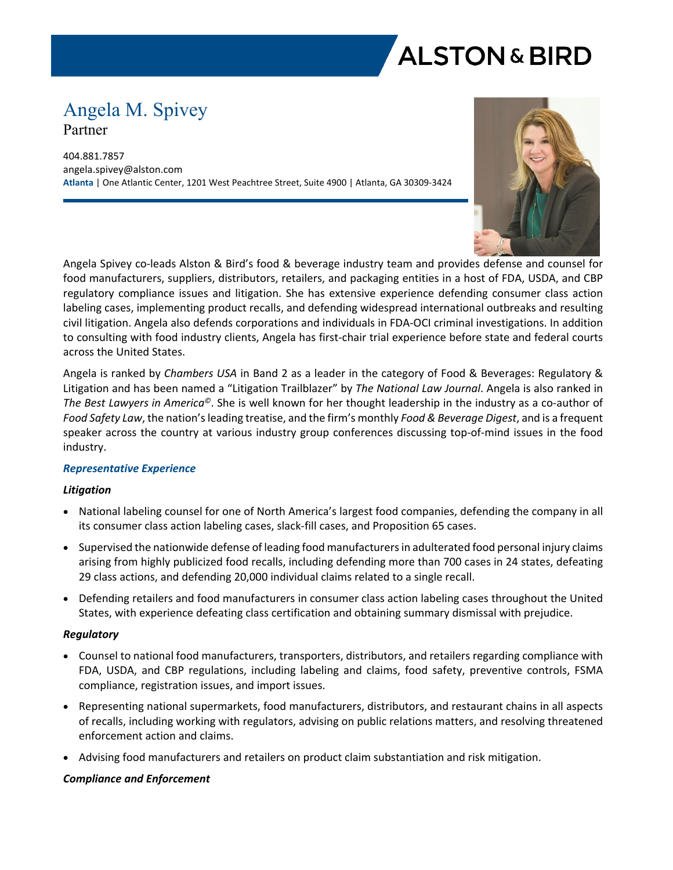

# Angela M. Spivey Partner

404.881.7857 angela.spivey@alston.com **Atlanta** | One Atlantic Center, 1201 West Peachtree Street, Suite 4900 | Atlanta, GA 30309-3424



Angela Spivey co-leads Alston & Bird's food & beverage industry team and provides defense and counsel for food manufacturers, suppliers, distributors, retailers, and packaging entities in a host of FDA, USDA, and CBP regulatory compliance issues and litigation. She has extensive experience defending consumer class action labeling cases, implementing product recalls, and defending widespread international outbreaks and resulting civil litigation. Angela also defends corporations and individuals in FDA-OCI criminal investigations. In addition to consulting with food industry clients, Angela has first-chair trial experience before state and federal courts across the United States.

Angela is ranked by *Chambers USA* in Band 2 as a leader in the category of Food & Beverages: Regulatory & Litigation and has been named a "Litigation Trailblazer" by *The National Law Journal*. Angela is also ranked in *The Best Lawyers in America©*. She is well known for her thought leadership in the industry as a co-author of *Food Safety Law*, the nation's leading treatise, and the firm's monthly *Food & Beverage Digest*, and is a frequent speaker across the country at various industry group conferences discussing top-of-mind issues in the food industry.

## *Representative Experience*

## *Litigation*

- National labeling counsel for one of North America's largest food companies, defending the company in all its consumer class action labeling cases, slack-fill cases, and Proposition 65 cases.
- Supervised the nationwide defense of leading food manufacturers in adulterated food personal injury claims arising from highly publicized food recalls, including defending more than 700 cases in 24 states, defeating 29 class actions, and defending 20,000 individual claims related to a single recall.
- Defending retailers and food manufacturers in consumer class action labeling cases throughout the United States, with experience defeating class certification and obtaining summary dismissal with prejudice.

#### *Regulatory*

- Counsel to national food manufacturers, transporters, distributors, and retailers regarding compliance with FDA, USDA, and CBP regulations, including labeling and claims, food safety, preventive controls, FSMA compliance, registration issues, and import issues.
- Representing national supermarkets, food manufacturers, distributors, and restaurant chains in all aspects of recalls, including working with regulators, advising on public relations matters, and resolving threatened enforcement action and claims.
- Advising food manufacturers and retailers on product claim substantiation and risk mitigation.

#### *Compliance and Enforcement*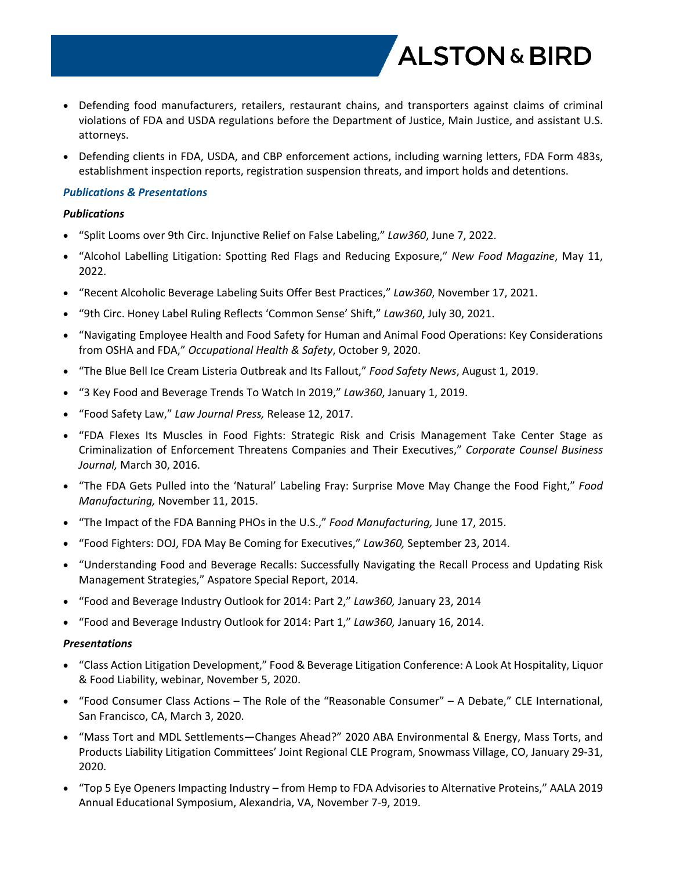Defending food manufacturers, retailers, restaurant chains, and transporters against claims of criminal violations of FDA and USDA regulations before the Department of Justice, Main Justice, and assistant U.S. attorneys.

**ALSTON & BIRD** 

• Defending clients in FDA, USDA, and CBP enforcement actions, including warning letters, FDA Form 483s, establishment inspection reports, registration suspension threats, and import holds and detentions.

### *Publications & Presentations*

#### *Publications*

- "Split Looms over 9th Circ. Injunctive Relief on False Labeling," *Law360*, June 7, 2022.
- "Alcohol Labelling Litigation: Spotting Red Flags and Reducing Exposure," *New Food Magazine*, May 11, 2022.
- "Recent Alcoholic Beverage Labeling Suits Offer Best Practices," *Law360*, November 17, 2021.
- "9th Circ. Honey Label Ruling Reflects 'Common Sense' Shift," *Law360*, July 30, 2021.
- "Navigating Employee Health and Food Safety for Human and Animal Food Operations: Key Considerations from OSHA and FDA," *Occupational Health & Safety*, October 9, 2020.
- "The Blue Bell Ice Cream Listeria Outbreak and Its Fallout," *Food Safety News*, August 1, 2019.
- "3 Key Food and Beverage Trends To Watch In 2019," *Law360*, January 1, 2019.
- "Food Safety Law," *Law Journal Press,* Release 12, 2017.
- "FDA Flexes Its Muscles in Food Fights: Strategic Risk and Crisis Management Take Center Stage as Criminalization of Enforcement Threatens Companies and Their Executives," *Corporate Counsel Business Journal,* March 30, 2016.
- "The FDA Gets Pulled into the 'Natural' Labeling Fray: Surprise Move May Change the Food Fight," *Food Manufacturing,* November 11, 2015.
- "The Impact of the FDA Banning PHOs in the U.S.," *Food Manufacturing,* June 17, 2015.
- "Food Fighters: DOJ, FDA May Be Coming for Executives," *Law360,* September 23, 2014.
- "Understanding Food and Beverage Recalls: Successfully Navigating the Recall Process and Updating Risk Management Strategies," Aspatore Special Report, 2014.
- "Food and Beverage Industry Outlook for 2014: Part 2," *Law360,* January 23, 2014
- "Food and Beverage Industry Outlook for 2014: Part 1," *Law360,* January 16, 2014.

#### *Presentations*

- "Class Action Litigation Development," Food & Beverage Litigation Conference: A Look At Hospitality, Liquor & Food Liability, webinar, November 5, 2020.
- "Food Consumer Class Actions The Role of the "Reasonable Consumer" A Debate," CLE International, San Francisco, CA, March 3, 2020.
- "Mass Tort and MDL Settlements—Changes Ahead?" 2020 ABA Environmental & Energy, Mass Torts, and Products Liability Litigation Committees' Joint Regional CLE Program, Snowmass Village, CO, January 29-31, 2020.
- "Top 5 Eye Openers Impacting Industry from Hemp to FDA Advisories to Alternative Proteins," AALA 2019 Annual Educational Symposium, Alexandria, VA, November 7-9, 2019.